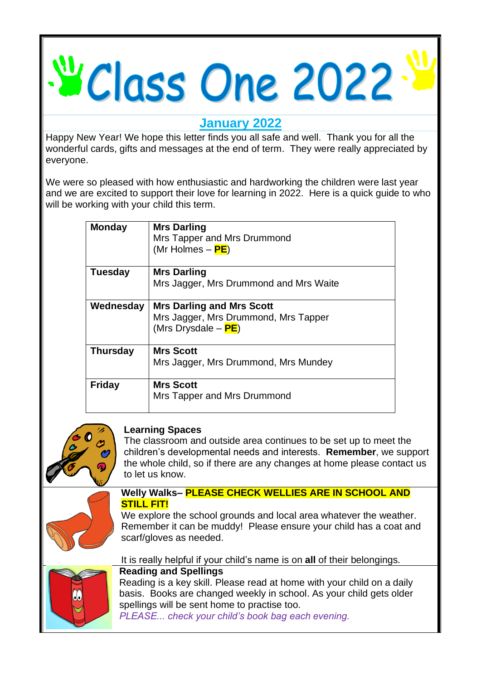# V Class One 2022

**January 2022**

Happy New Year! We hope this letter finds you all safe and well. Thank you for all the wonderful cards, gifts and messages at the end of term. They were really appreciated by everyone.

We were so pleased with how enthusiastic and hardworking the children were last year and we are excited to support their love for learning in 2022. Here is a quick guide to who will be working with your child this term.

| <b>Monday</b>   | <b>Mrs Darling</b><br>Mrs Tapper and Mrs Drummond<br>(Mr Holmes – PE)                           |
|-----------------|-------------------------------------------------------------------------------------------------|
| Tuesday         | <b>Mrs Darling</b><br>Mrs Jagger, Mrs Drummond and Mrs Waite                                    |
| Wednesday       | <b>Mrs Darling and Mrs Scott</b><br>Mrs Jagger, Mrs Drummond, Mrs Tapper<br>(Mrs Drysdale – PE) |
| <b>Thursday</b> | <b>Mrs Scott</b><br>Mrs Jagger, Mrs Drummond, Mrs Mundey                                        |
| <b>Friday</b>   | <b>Mrs Scott</b><br>Mrs Tapper and Mrs Drummond                                                 |



# **Learning Spaces**

The classroom and outside area continues to be set up to meet the children's developmental needs and interests. **Remember**, we support the whole child, so if there are any changes at home please contact us to let us know.



#### **Welly Walks– PLEASE CHECK WELLIES ARE IN SCHOOL AND STILL FIT!**

We explore the school grounds and local area whatever the weather. Remember it can be muddy! Please ensure your child has a coat and scarf/gloves as needed.



# It is really helpful if your child's name is on **all** of their belongings.

# **Reading and Spellings**

Reading is a key skill. Please read at home with your child on a daily basis. Books are changed weekly in school. As your child gets older spellings will be sent home to practise too.

*PLEASE... check your child's book bag each evening.*